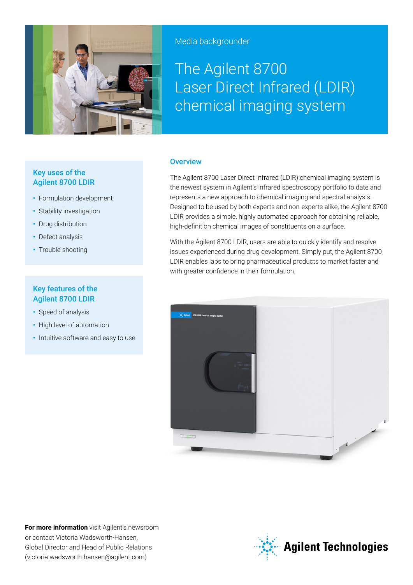

Media backgrounder

# The Agilent 8700 Laser Direct Infrared (LDIR) chemical imaging system

# Key uses of the Agilent 8700 LDIR

- **•** Formulation development
- **•** Stability investigation
- **•** Drug distribution
- **•** Defect analysis
- **•** Trouble shooting

# Key features of the Agilent 8700 LDIR

- **•** Speed of analysis
- **•** High level of automation
- **•** Intuitive software and easy to use

### **Overview**

The Agilent 8700 Laser Direct Infrared (LDIR) chemical imaging system is the newest system in Agilent's infrared spectroscopy portfolio to date and represents a new approach to chemical imaging and spectral analysis. Designed to be used by both experts and non-experts alike, the Agilent 8700 LDIR provides a simple, highly automated approach for obtaining reliable, high-definition chemical images of constituents on a surface.

With the Agilent 8700 LDIR, users are able to quickly identify and resolve issues experienced during drug development. Simply put, the Agilent 8700 LDIR enables labs to bring pharmaceutical products to market faster and with greater confidence in their formulation.



**For more information** visit Agilent's newsroom or contact Victoria Wadsworth-Hansen, Global Director and Head of Public Relations (victoria.wadsworth-hansen@agilent.com)